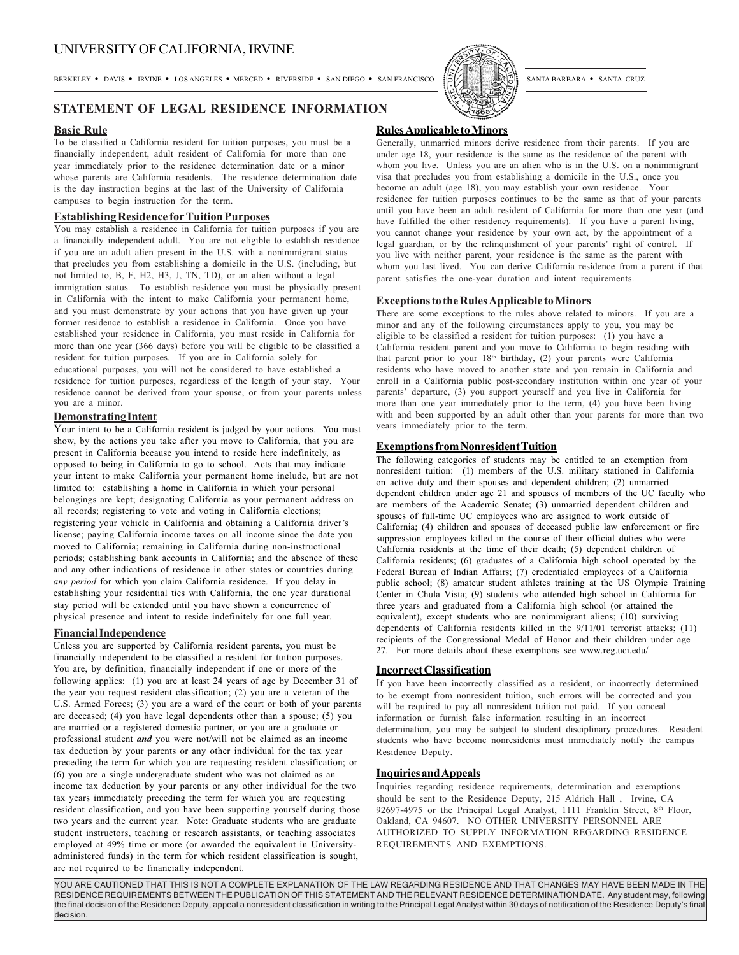BERKELEY • DAVIS • IRVINE • LOS ANGELES • MERCED • RIVERSIDE • SAN DIEGO • SAN FRANCISCO [S//] SANTA BARBARA • SANTA CRUZ



## **Basic Rule**

To be classified a California resident for tuition purposes, you must be a financially independent, adult resident of California for more than one year immediately prior to the residence determination date or a minor whose parents are California residents. The residence determination date is the day instruction begins at the last of the University of California campuses to begin instruction for the term.

## **Establishing Residence for Tuition Purposes**

You may establish a residence in California for tuition purposes if you are a financially independent adult. You are not eligible to establish residence if you are an adult alien present in the U.S. with a nonimmigrant status that precludes you from establishing a domicile in the U.S. (including, but not limited to, B, F, H2, H3, J, TN, TD), or an alien without a legal immigration status. To establish residence you must be physically present in California with the intent to make California your permanent home, and you must demonstrate by your actions that you have given up your former residence to establish a residence in California. Once you have established your residence in California, you must reside in California for more than one year (366 days) before you will be eligible to be classified a resident for tuition purposes. If you are in California solely for educational purposes, you will not be considered to have established a residence for tuition purposes, regardless of the length of your stay. Your residence cannot be derived from your spouse, or from your parents unless you are a minor.

### **Demonstrating Intent**

Your intent to be a California resident is judged by your actions. You must show, by the actions you take after you move to California, that you are present in California because you intend to reside here indefinitely, as opposed to being in California to go to school. Acts that may indicate your intent to make California your permanent home include, but are not limited to: establishing a home in California in which your personal belongings are kept; designating California as your permanent address on all records; registering to vote and voting in California elections; registering your vehicle in California and obtaining a California driver's license; paying California income taxes on all income since the date you moved to California; remaining in California during non-instructional periods; establishing bank accounts in California; and the absence of these and any other indications of residence in other states or countries during *any period* for which you claim California residence. If you delay in establishing your residential ties with California, the one year durational stay period will be extended until you have shown a concurrence of physical presence and intent to reside indefinitely for one full year.

### **Financial Independence**

Unless you are supported by California resident parents, you must be financially independent to be classified a resident for tuition purposes. You are, by definition, financially independent if one or more of the following applies: (1) you are at least 24 years of age by December 31 of the year you request resident classification; (2) you are a veteran of the U.S. Armed Forces; (3) you are a ward of the court or both of your parents are deceased; (4) you have legal dependents other than a spouse; (5) you are married or a registered domestic partner, or you are a graduate or professional student *and* you were not/will not be claimed as an income tax deduction by your parents or any other individual for the tax year preceding the term for which you are requesting resident classification; or (6) you are a single undergraduate student who was not claimed as an income tax deduction by your parents or any other individual for the two tax years immediately preceding the term for which you are requesting resident classification, and you have been supporting yourself during those two years and the current year. Note: Graduate students who are graduate student instructors, teaching or research assistants, or teaching associates employed at 49% time or more (or awarded the equivalent in Universityadministered funds) in the term for which resident classification is sought, are not required to be financially independent.



## **Rules Applicable to Minors**

Generally, unmarried minors derive residence from their parents. If you are under age 18, your residence is the same as the residence of the parent with whom you live. Unless you are an alien who is in the U.S. on a nonimmigrant visa that precludes you from establishing a domicile in the U.S., once you become an adult (age 18), you may establish your own residence. Your residence for tuition purposes continues to be the same as that of your parents until you have been an adult resident of California for more than one year (and have fulfilled the other residency requirements). If you have a parent living, you cannot change your residence by your own act, by the appointment of a legal guardian, or by the relinquishment of your parents' right of control. If you live with neither parent, your residence is the same as the parent with whom you last lived. You can derive California residence from a parent if that parent satisfies the one-year duration and intent requirements.

## **Exceptions to the Rules Applicable to Minors**

There are some exceptions to the rules above related to minors. If you are a minor and any of the following circumstances apply to you, you may be eligible to be classified a resident for tuition purposes: (1) you have a California resident parent and you move to California to begin residing with that parent prior to your 18<sup>th</sup> birthday, (2) your parents were California residents who have moved to another state and you remain in California and enroll in a California public post-secondary institution within one year of your parents' departure, (3) you support yourself and you live in California for more than one year immediately prior to the term, (4) you have been living with and been supported by an adult other than your parents for more than two years immediately prior to the term.

## **Exemptions from Nonresident Tuition**

The following categories of students may be entitled to an exemption from nonresident tuition: (1) members of the U.S. military stationed in California on active duty and their spouses and dependent children; (2) unmarried dependent children under age 21 and spouses of members of the UC faculty who are members of the Academic Senate; (3) unmarried dependent children and spouses of full-time UC employees who are assigned to work outside of California; (4) children and spouses of deceased public law enforcement or fire suppression employees killed in the course of their official duties who were California residents at the time of their death; (5) dependent children of California residents; (6) graduates of a California high school operated by the Federal Bureau of Indian Affairs; (7) credentialed employees of a California public school; (8) amateur student athletes training at the US Olympic Training Center in Chula Vista; (9) students who attended high school in California for three years and graduated from a California high school (or attained the equivalent), except students who are nonimmigrant aliens; (10) surviving dependents of California residents killed in the 9/11/01 terrorist attacks; (11) recipients of the Congressional Medal of Honor and their children under age 27. For more details about these exemptions see www.reg.uci.edu/

## **Incorrect Classification**

If you have been incorrectly classified as a resident, or incorrectly determined to be exempt from nonresident tuition, such errors will be corrected and you will be required to pay all nonresident tuition not paid. If you conceal information or furnish false information resulting in an incorrect determination, you may be subject to student disciplinary procedures. Resident students who have become nonresidents must immediately notify the campus Residence Deputy.

## **Inquiries and Appeals**

Inquiries regarding residence requirements, determination and exemptions should be sent to the Residence Deputy, 215 Aldrich Hall , Irvine, CA 92697-4975 or the Principal Legal Analyst, 1111 Franklin Street, 8<sup>th</sup> Floor, Oakland, CA 94607. NO OTHER UNIVERSITY PERSONNEL ARE AUTHORIZED TO SUPPLY INFORMATION REGARDING RESIDENCE REQUIREMENTS AND EXEMPTIONS.

YOU ARE CAUTIONED THAT THIS IS NOT A COMPLETE EXPLANATION OF THE LAW REGARDING RESIDENCE AND THAT CHANGES MAY HAVE BEEN MADE IN THE RESIDENCE REQUIREMENTS BETWEEN THE PUBLICATION OF THIS STATEMENT AND THE RELEVANT RESIDENCE DETERMINATION DATE. Any student may, following the final decision of the Residence Deputy, appeal a nonresident classification in writing to the Principal Legal Analyst within 30 days of notification of the Residence Deputy's final decision.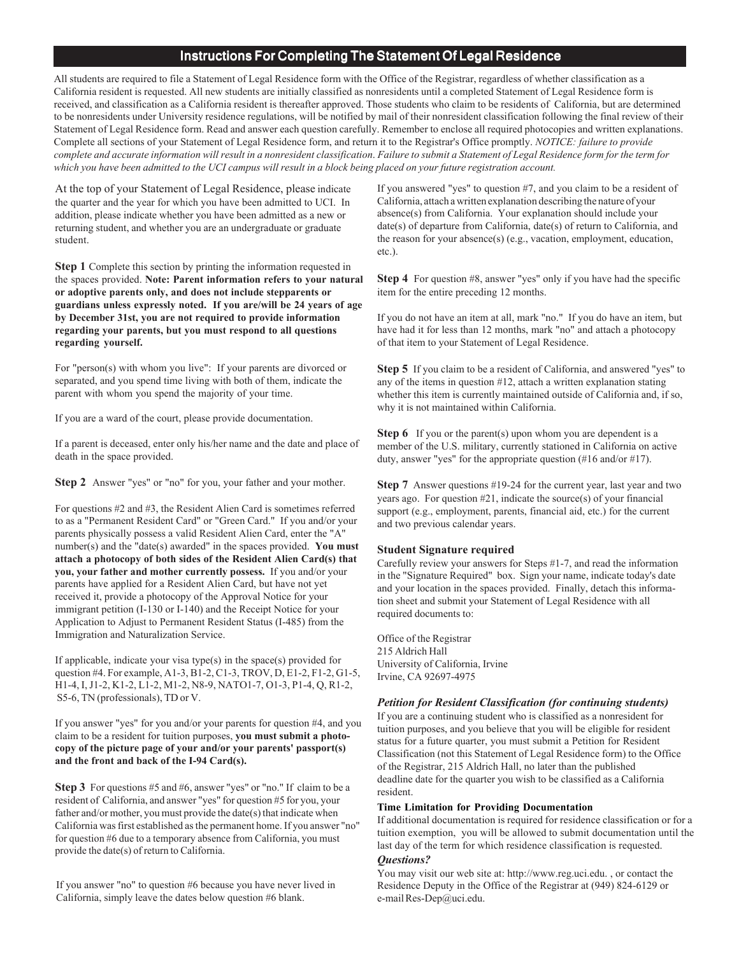## Instructions For Completing The Statement Of Legal Residence

All students are required to file a Statement of Legal Residence form with the Office of the Registrar, regardless of whether classification as a California resident is requested. All new students are initially classified as nonresidents until a completed Statement of Legal Residence form is received, and classification as a California resident is thereafter approved. Those students who claim to be residents of California, but are determined to be nonresidents under University residence regulations, will be notified by mail of their nonresident classification following the final review of their Statement of Legal Residence form. Read and answer each question carefully. Remember to enclose all required photocopies and written explanations. Complete all sections of your Statement of Legal Residence form, and return it to the Registrar's Office promptly. *NOTICE: failure to provide complete and accurate information will result in a nonresident classification*. *Failure to submit a Statement of Legal Residence form for the term for which you have been admitted to the UCI campus will result in a block being placed on your future registration account.*

At the top of your Statement of Legal Residence, please indicate the quarter and the year for which you have been admitted to UCI. In addition, please indicate whether you have been admitted as a new or returning student, and whether you are an undergraduate or graduate student.

**Step 1** Complete this section by printing the information requested in the spaces provided. **Note: Parent information refers to your natural or adoptive parents only, and does not include stepparents or guardians unless expressly noted. If you are/will be 24 years of age by December 31st, you are not required to provide information regarding your parents, but you must respond to all questions regarding yourself.**

For "person(s) with whom you live": If your parents are divorced or separated, and you spend time living with both of them, indicate the parent with whom you spend the majority of your time.

If you are a ward of the court, please provide documentation.

If a parent is deceased, enter only his/her name and the date and place of death in the space provided.

**Step 2** Answer "yes" or "no" for you, your father and your mother.

For questions #2 and #3, the Resident Alien Card is sometimes referred to as a "Permanent Resident Card" or "Green Card." If you and/or your parents physically possess a valid Resident Alien Card, enter the "A" number(s) and the "date(s) awarded" in the spaces provided. **You must attach a photocopy of both sides of the Resident Alien Card(s) that you, your father and mother currently possess.** If you and/or your parents have applied for a Resident Alien Card, but have not yet received it, provide a photocopy of the Approval Notice for your immigrant petition (I-130 or I-140) and the Receipt Notice for your Application to Adjust to Permanent Resident Status (I-485) from the Immigration and Naturalization Service.

If applicable, indicate your visa type(s) in the space(s) provided for question #4. For example, A1-3, B1-2, C1-3, TROV, D, E1-2, F1-2, G1-5, H1-4, I, J1-2, K1-2, L1-2, M1-2, N8-9, NATO1-7, O1-3, P1-4, Q, R1-2, S5-6, TN (professionals), TD or V.

If you answer "yes" for you and/or your parents for question #4, and you claim to be a resident for tuition purposes, **you must submit a photocopy of the picture page of your and/or your parents' passport(s) and the front and back of the I-94 Card(s).**

**Step 3** For questions #5 and #6, answer "yes" or "no." If claim to be a resident of California, and answer "yes" for question #5 for you, your father and/or mother, you must provide the date(s) that indicate when California was first established as the permanent home. If you answer "no" for question #6 due to a temporary absence from California, you must provide the date(s) of return to California.

If you answer "no" to question #6 because you have never lived in California, simply leave the dates below question #6 blank.

If you answered "yes" to question #7, and you claim to be a resident of California, attach a written explanation describing the nature of your absence(s) from California. Your explanation should include your date(s) of departure from California, date(s) of return to California, and the reason for your absence(s) (e.g., vacation, employment, education, etc.).

**Step 4** For question #8, answer "yes" only if you have had the specific item for the entire preceding 12 months.

If you do not have an item at all, mark "no." If you do have an item, but have had it for less than 12 months, mark "no" and attach a photocopy of that item to your Statement of Legal Residence.

**Step 5** If you claim to be a resident of California, and answered "yes" to any of the items in question #12, attach a written explanation stating whether this item is currently maintained outside of California and, if so, why it is not maintained within California.

**Step 6** If you or the parent(s) upon whom you are dependent is a member of the U.S. military, currently stationed in California on active duty, answer "yes" for the appropriate question (#16 and/or #17).

**Step 7** Answer questions #19-24 for the current year, last year and two years ago. For question #21, indicate the source(s) of your financial support (e.g., employment, parents, financial aid, etc.) for the current and two previous calendar years.

### **Student Signature required**

Carefully review your answers for Steps #1-7, and read the information in the "Signature Required" box. Sign your name, indicate today's date and your location in the spaces provided. Finally, detach this information sheet and submit your Statement of Legal Residence with all required documents to:

Office of the Registrar 215 Aldrich Hall University of California, Irvine Irvine, CA 92697-4975

### *Petition for Resident Classification (for continuing students)*

If you are a continuing student who is classified as a nonresident for tuition purposes, and you believe that you will be eligible for resident status for a future quarter, you must submit a Petition for Resident Classification (not this Statement of Legal Residence form) to the Office of the Registrar, 215 Aldrich Hall, no later than the published deadline date for the quarter you wish to be classified as a California resident.

#### **Time Limitation for Providing Documentation**

If additional documentation is required for residence classification or for a tuition exemption, you will be allowed to submit documentation until the last day of the term for which residence classification is requested.

#### *Questions?*

You may visit our web site at: http://www.reg.uci.edu. , or contact the Residence Deputy in the Office of the Registrar at (949) 824-6129 or e-mail Res-Dep@uci.edu.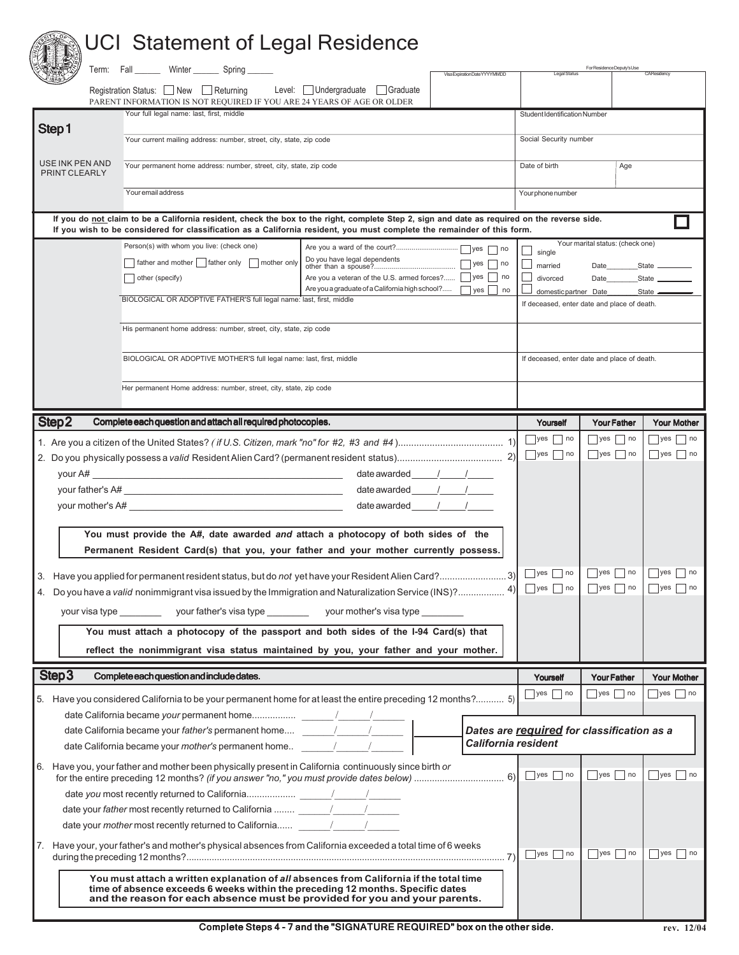# **THE UCI Statement of Legal Residence**

|                                                                      | Term: Fall _______ Winter _______ Spring                                                                                                          | Visa Expiration Date YYYYMMDD                                                                                                                                         |                                              | For Residence Deputy's Use                   |                                                      |  |
|----------------------------------------------------------------------|---------------------------------------------------------------------------------------------------------------------------------------------------|-----------------------------------------------------------------------------------------------------------------------------------------------------------------------|----------------------------------------------|----------------------------------------------|------------------------------------------------------|--|
|                                                                      | Registration Status: New Returning<br>PARENT INFORMATION IS NOT REQUIRED IF YOU ARE 24 YEARS OF AGE OR OLDER                                      | Level: Undergraduate   Graduate                                                                                                                                       |                                              |                                              |                                                      |  |
| Step1                                                                | Your full legal name: last, first, middle                                                                                                         |                                                                                                                                                                       | Student Identification Number                |                                              |                                                      |  |
|                                                                      | Your current mailing address: number, street, city, state, zip code                                                                               |                                                                                                                                                                       |                                              | Social Security number                       |                                                      |  |
| USE INK PEN AND<br>PRINT CLEARLY                                     | Your permanent home address: number, street, city, state, zip code                                                                                |                                                                                                                                                                       | Date of birth                                | Age                                          |                                                      |  |
|                                                                      | Your email address                                                                                                                                |                                                                                                                                                                       | Your phone number                            |                                              |                                                      |  |
|                                                                      |                                                                                                                                                   | If you do not claim to be a California resident, check the box to the right, complete Step 2, sign and date as required on the reverse side.                          |                                              |                                              |                                                      |  |
|                                                                      |                                                                                                                                                   | If you wish to be considered for classification as a California resident, you must complete the remainder of this form.                                               |                                              | Your marital status: (check one)             |                                                      |  |
|                                                                      | Person(s) with whom you live: (check one)                                                                                                         |                                                                                                                                                                       | single                                       |                                              |                                                      |  |
|                                                                      | □ father and mother stather only □ mother only<br>  other (specify)                                                                               | $\exists$ yes $\Box$ no<br>Are you a veteran of the U.S. armed forces?   yes no                                                                                       | $\Box$ married<br>divorced                   | Date<br>Date                                 | State _<br>State __                                  |  |
|                                                                      |                                                                                                                                                   | Are you a graduate of a California high school?<br>$ yes $ no                                                                                                         | domestic partner Date                        |                                              | State —                                              |  |
| BIOLOGICAL OR ADOPTIVE FATHER'S full legal name: last, first, middle |                                                                                                                                                   |                                                                                                                                                                       |                                              | If deceased, enter date and place of death.  |                                                      |  |
|                                                                      | His permanent home address: number, street, city, state, zip code                                                                                 |                                                                                                                                                                       |                                              |                                              |                                                      |  |
|                                                                      | BIOLOGICAL OR ADOPTIVE MOTHER'S full legal name: last, first, middle                                                                              |                                                                                                                                                                       |                                              | If deceased, enter date and place of death.  |                                                      |  |
| Her permanent Home address: number, street, city, state, zip code    |                                                                                                                                                   |                                                                                                                                                                       |                                              |                                              |                                                      |  |
|                                                                      |                                                                                                                                                   |                                                                                                                                                                       |                                              |                                              |                                                      |  |
| Step2                                                                | Complete each question and attach all required photocopies.                                                                                       |                                                                                                                                                                       | Yourself                                     | <b>Your Father</b>                           | <b>Your Mother</b>                                   |  |
|                                                                      |                                                                                                                                                   |                                                                                                                                                                       | $\Box$ yes $\Box$ no<br>$\Box$ yes $\Box$ no | $\Box$ yes $\Box$ no<br>$\Box$ yes $\Box$ no | $\sqrt{ }$ yes $\sqrt{ }$ no<br>$\Box$ yes $\Box$ no |  |
|                                                                      |                                                                                                                                                   |                                                                                                                                                                       |                                              |                                              |                                                      |  |
|                                                                      |                                                                                                                                                   | $dateawarded$ / /                                                                                                                                                     |                                              |                                              |                                                      |  |
|                                                                      | your mother's A#                                                                                                                                  | date awarded<br>date awarded                                                                                                                                          |                                              |                                              |                                                      |  |
|                                                                      |                                                                                                                                                   |                                                                                                                                                                       |                                              |                                              |                                                      |  |
|                                                                      |                                                                                                                                                   | You must provide the A#, date awarded and attach a photocopy of both sides of the                                                                                     |                                              |                                              |                                                      |  |
|                                                                      |                                                                                                                                                   | Permanent Resident Card(s) that you, your father and your mother currently possess.                                                                                   |                                              |                                              |                                                      |  |
| 3.                                                                   |                                                                                                                                                   | Have you applied for permanent resident status, but do not yet have your Resident Alien Card?3)                                                                       | $\Box$ yes $\Box$ no                         | $\Box$ yes $\Box$ no                         | $ $ yes<br>$\vert$ no                                |  |
|                                                                      |                                                                                                                                                   | 4. Do you have a valid nonimmigrant visa issued by the Immigration and Naturalization Service (INS)? 4)                                                               | $ $ yes $ $ no                               | $ $ yes $ $ no                               | $ {\rm yes} $<br>  no                                |  |
|                                                                      | your visa type ______________ your father's visa type _______________ your mother's visa type __________                                          |                                                                                                                                                                       |                                              |                                              |                                                      |  |
|                                                                      |                                                                                                                                                   | You must attach a photocopy of the passport and both sides of the I-94 Card(s) that                                                                                   |                                              |                                              |                                                      |  |
|                                                                      |                                                                                                                                                   | reflect the nonimmigrant visa status maintained by you, your father and your mother.                                                                                  |                                              |                                              |                                                      |  |
| Step <sub>3</sub>                                                    | Complete each question and include dates.                                                                                                         |                                                                                                                                                                       | Yourself                                     | <b>Your Father</b>                           | <b>Your Mother</b>                                   |  |
|                                                                      |                                                                                                                                                   | 5. Have you considered California to be your permanent home for at least the entire preceding 12 months? 5)                                                           | $\Box$ yes $\Box$ no                         | $\Box$ yes $\Box$ no                         | $\sqrt{y}$ yes $\sqrt{y}$ no                         |  |
|                                                                      |                                                                                                                                                   |                                                                                                                                                                       |                                              |                                              |                                                      |  |
|                                                                      |                                                                                                                                                   |                                                                                                                                                                       | Dates are required for classification as a   |                                              |                                                      |  |
|                                                                      | date California became your <i>mother's</i> permanent home $\frac{1}{\sqrt{1-\frac{1}{2}}}$                                                       |                                                                                                                                                                       | California resident                          |                                              |                                                      |  |
|                                                                      | 6. Have you, your father and mother been physically present in California continuously since birth or                                             |                                                                                                                                                                       |                                              | $\Box$ yes $\Box$ no                         | $\Box$ yes $\Box$ no                                 |  |
|                                                                      |                                                                                                                                                   |                                                                                                                                                                       |                                              |                                              |                                                      |  |
|                                                                      | date your father most recently returned to California $\frac{1}{\sqrt{1-\frac{1}{2}}\sqrt{1-\frac{1}{2}}\sqrt{1-\frac{1}{2}}\sqrt{1-\frac{1}{2}}$ |                                                                                                                                                                       |                                              |                                              |                                                      |  |
|                                                                      | date your mother most recently returned to California [144]                                                                                       |                                                                                                                                                                       |                                              |                                              |                                                      |  |
|                                                                      |                                                                                                                                                   | 7. Have your, your father's and mother's physical absences from California exceeded a total time of 6 weeks                                                           | $\neg$ yes $\neg$ no                         | $\Box$ yes $\Box$ no                         | $ $ yes $ $ no                                       |  |
|                                                                      | time of absence exceeds 6 weeks within the preceding 12 months. Specific dates                                                                    | You must attach a written explanation of all absences from California if the total time<br>and the reason for each absence must be provided for you and your parents. |                                              |                                              |                                                      |  |